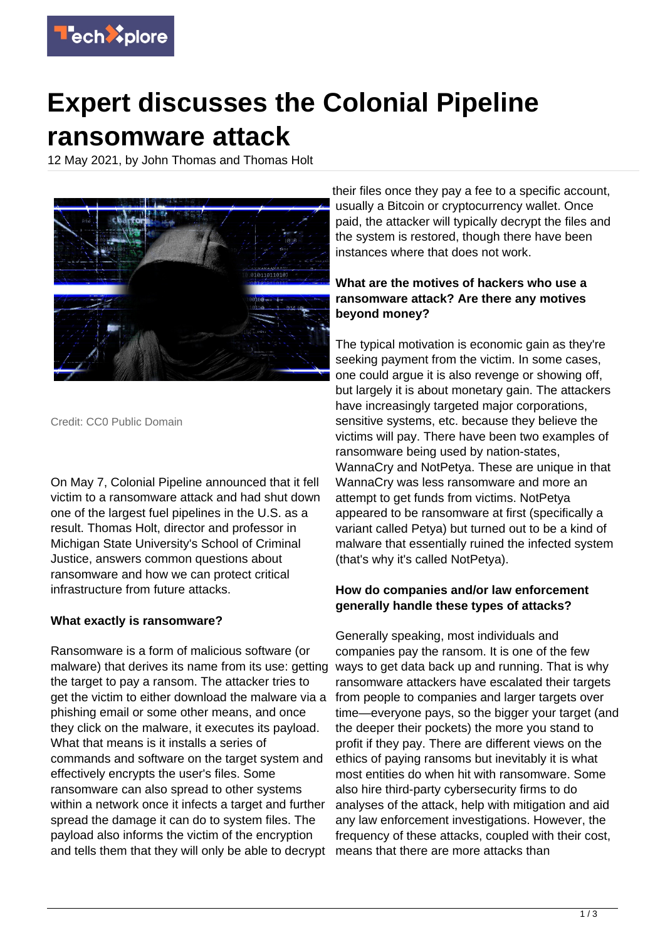

# **Expert discusses the Colonial Pipeline ransomware attack**

12 May 2021, by John Thomas and Thomas Holt



Credit: CC0 Public Domain

On May 7, Colonial Pipeline announced that it fell victim to a ransomware attack and had shut down one of the largest fuel pipelines in the U.S. as a result. Thomas Holt, director and professor in Michigan State University's School of Criminal Justice, answers common questions about ransomware and how we can protect critical infrastructure from future attacks.

# **What exactly is ransomware?**

Ransomware is a form of malicious software (or malware) that derives its name from its use: getting the target to pay a ransom. The attacker tries to get the victim to either download the malware via a phishing email or some other means, and once they click on the malware, it executes its payload. What that means is it installs a series of commands and software on the target system and effectively encrypts the user's files. Some ransomware can also spread to other systems within a network once it infects a target and further spread the damage it can do to system files. The payload also informs the victim of the encryption and tells them that they will only be able to decrypt

their files once they pay a fee to a specific account, usually a Bitcoin or cryptocurrency wallet. Once paid, the attacker will typically decrypt the files and the system is restored, though there have been instances where that does not work.

# **What are the motives of hackers who use a ransomware attack? Are there any motives beyond money?**

The typical motivation is economic gain as they're seeking payment from the victim. In some cases, one could argue it is also revenge or showing off, but largely it is about monetary gain. The attackers have increasingly targeted major corporations, sensitive systems, etc. because they believe the victims will pay. There have been two examples of ransomware being used by nation-states, WannaCry and NotPetya. These are unique in that WannaCry was less ransomware and more an attempt to get funds from victims. NotPetya appeared to be ransomware at first (specifically a variant called Petya) but turned out to be a kind of malware that essentially ruined the infected system (that's why it's called NotPetya).

# **How do companies and/or law enforcement generally handle these types of attacks?**

Generally speaking, most individuals and companies pay the ransom. It is one of the few ways to get data back up and running. That is why ransomware attackers have escalated their targets from people to companies and larger targets over time—everyone pays, so the bigger your target (and the deeper their pockets) the more you stand to profit if they pay. There are different views on the ethics of paying ransoms but inevitably it is what most entities do when hit with ransomware. Some also hire third-party cybersecurity firms to do analyses of the attack, help with mitigation and aid any law enforcement investigations. However, the frequency of these attacks, coupled with their cost, means that there are more attacks than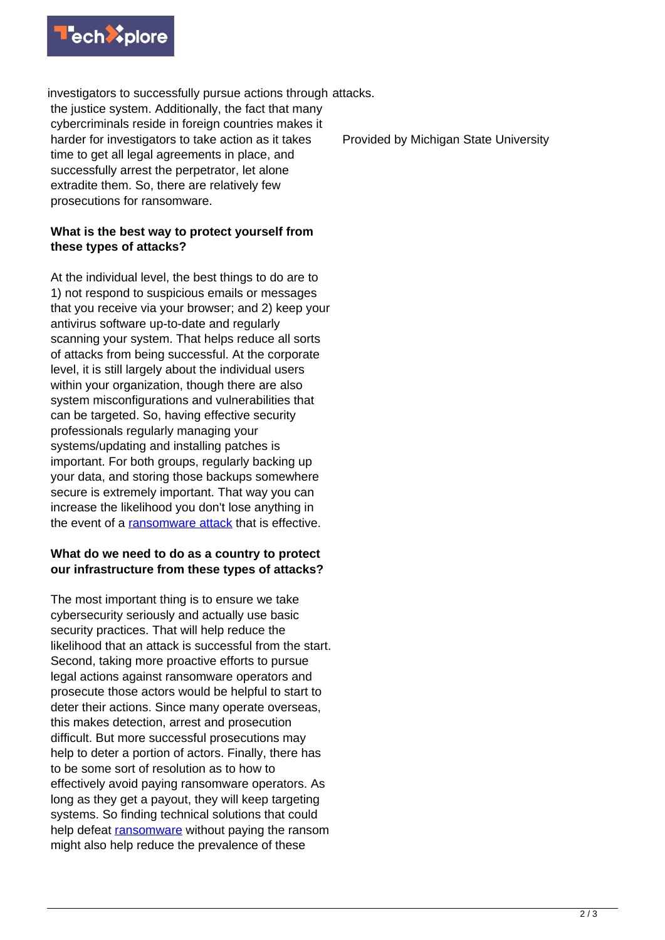

investigators to successfully pursue actions through attacks. the justice system. Additionally, the fact that many cybercriminals reside in foreign countries makes it harder for investigators to take action as it takes time to get all legal agreements in place, and successfully arrest the perpetrator, let alone extradite them. So, there are relatively few prosecutions for ransomware.

### **What is the best way to protect yourself from these types of attacks?**

At the individual level, the best things to do are to 1) not respond to suspicious emails or messages that you receive via your browser; and 2) keep your antivirus software up-to-date and regularly scanning your system. That helps reduce all sorts of attacks from being successful. At the corporate level, it is still largely about the individual users within your organization, though there are also system misconfigurations and vulnerabilities that can be targeted. So, having effective security professionals regularly managing your systems/updating and installing patches is important. For both groups, regularly backing up your data, and storing those backups somewhere secure is extremely important. That way you can increase the likelihood you don't lose anything in the event of a [ransomware attack](https://techxplore.com/tags/ransomware+attack/) that is effective.

### **What do we need to do as a country to protect our infrastructure from these types of attacks?**

The most important thing is to ensure we take cybersecurity seriously and actually use basic security practices. That will help reduce the likelihood that an attack is successful from the start. Second, taking more proactive efforts to pursue legal actions against ransomware operators and prosecute those actors would be helpful to start to deter their actions. Since many operate overseas, this makes detection, arrest and prosecution difficult. But more successful prosecutions may help to deter a portion of actors. Finally, there has to be some sort of resolution as to how to effectively avoid paying ransomware operators. As long as they get a payout, they will keep targeting systems. So finding technical solutions that could help defeat [ransomware](https://techxplore.com/tags/ransomware/) without paying the ransom might also help reduce the prevalence of these

Provided by Michigan State University